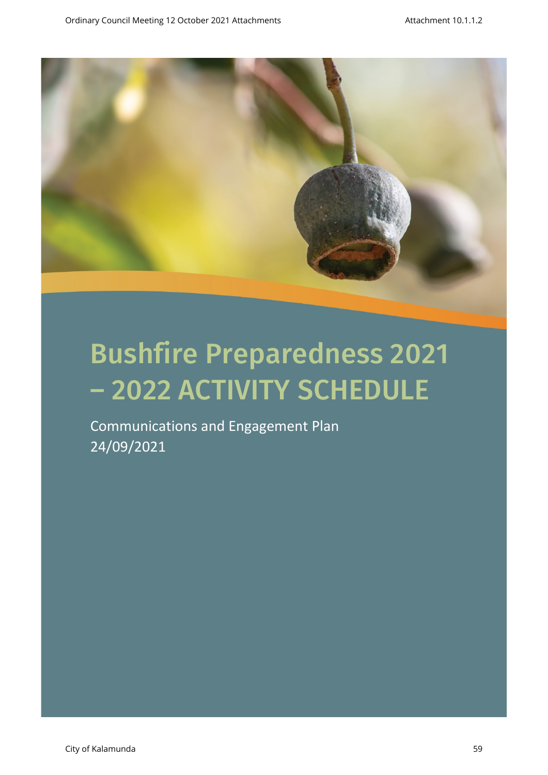

Communications and Engagement Plan 24/09/2021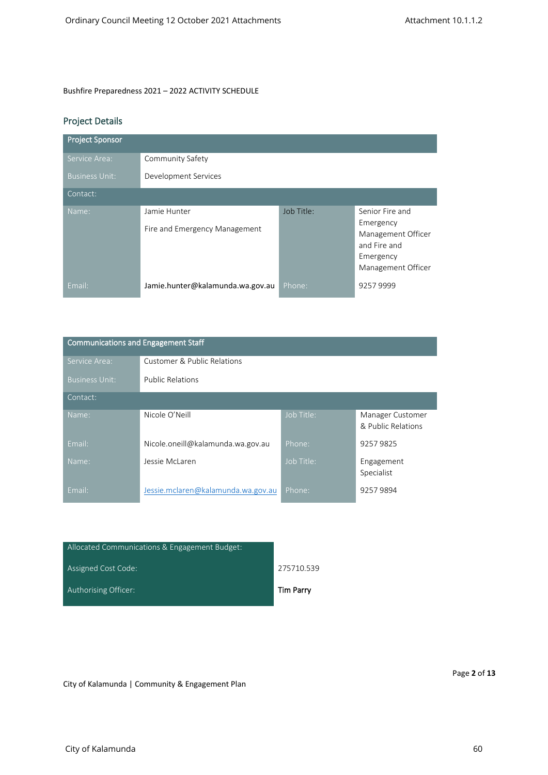Communications and Engagement Staff

# Project Details

| <b>Project Sponsor</b> |                                               |            |                                                                                                       |
|------------------------|-----------------------------------------------|------------|-------------------------------------------------------------------------------------------------------|
| Service Area:          | Community Safety                              |            |                                                                                                       |
| <b>Business Unit:</b>  | Development Services                          |            |                                                                                                       |
| Contact:               |                                               |            |                                                                                                       |
| Name:                  | Jamie Hunter<br>Fire and Emergency Management | Job Title: | Senior Fire and<br>Emergency<br>Management Officer<br>and Fire and<br>Emergency<br>Management Officer |
| Email:                 | Jamie.hunter@kalamunda.wa.gov.au              | Phone:     | 92579999                                                                                              |

| Communications and Engagement Staff |                                        |            |                                        |
|-------------------------------------|----------------------------------------|------------|----------------------------------------|
| Service Area:                       | <b>Customer &amp; Public Relations</b> |            |                                        |
| <b>Business Unit:</b>               | <b>Public Relations</b>                |            |                                        |
| Contact:                            |                                        |            |                                        |
| Name:                               | Nicole O'Neill                         | Job Title: | Manager Customer<br>& Public Relations |
| Email:                              | Nicole.oneill@kalamunda.wa.gov.au      | Phone:     | 92579825                               |
| Name:                               | Jessie McLaren                         | Job Title: | Engagement<br>Specialist               |
| Email:                              | Jessie.mclaren@kalamunda.wa.gov.au     | Phone:     | 92579894                               |

| Allocated Communications & Engagement Budget: |            |
|-----------------------------------------------|------------|
| Assigned Cost Code:                           | 275710.539 |
| Authorising Officer:                          | Tim Parry  |

City of Kalamunda | Community & Engagement Plan

Page **2** of **13**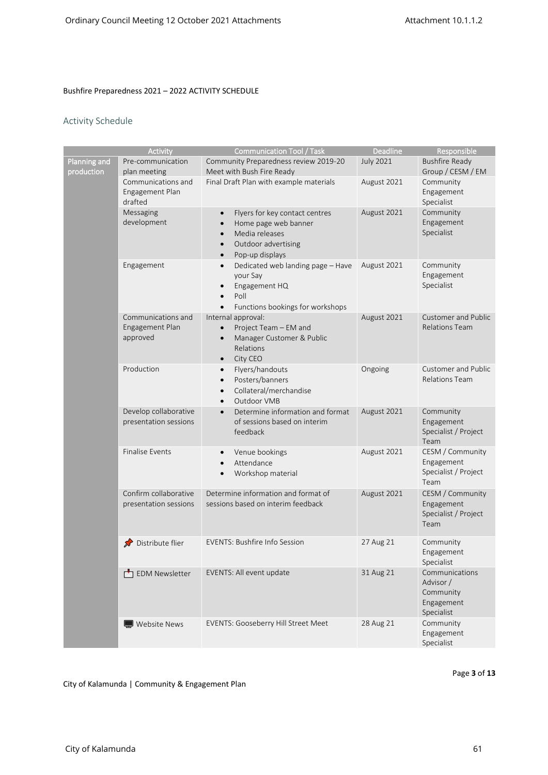## Activity Schedule

|              | Activity                                       | <b>Communication Tool / Task</b>                                          | <b>Deadline</b>  | Responsible                                  |
|--------------|------------------------------------------------|---------------------------------------------------------------------------|------------------|----------------------------------------------|
| Planning and | Pre-communication                              | Community Preparedness review 2019-20                                     | <b>July 2021</b> | <b>Bushfire Ready</b>                        |
| production   | plan meeting                                   | Meet with Bush Fire Ready                                                 |                  | Group / CESM / EM                            |
|              | Communications and                             | Final Draft Plan with example materials                                   | August 2021      | Community                                    |
|              | Engagement Plan                                |                                                                           |                  | Engagement                                   |
|              | drafted                                        |                                                                           |                  | Specialist                                   |
|              | Messaging                                      | Flyers for key contact centres<br>$\bullet$                               | August 2021      | Community                                    |
|              | development                                    | Home page web banner<br>$\bullet$                                         |                  | Engagement                                   |
|              |                                                | Media releases<br>$\bullet$                                               |                  | Specialist                                   |
|              |                                                | Outdoor advertising<br>$\bullet$                                          |                  |                                              |
|              |                                                | Pop-up displays<br>$\bullet$                                              |                  |                                              |
|              | Engagement                                     | Dedicated web landing page - Have<br>$\bullet$                            | August 2021      | Community                                    |
|              |                                                | your Say                                                                  |                  | Engagement                                   |
|              |                                                | Engagement HQ<br>$\bullet$                                                |                  | Specialist                                   |
|              |                                                | Poll<br>$\bullet$                                                         |                  |                                              |
|              |                                                | Functions bookings for workshops<br>$\bullet$                             |                  |                                              |
|              | Communications and                             | Internal approval:                                                        | August 2021      | Customer and Public<br><b>Relations Team</b> |
|              | Engagement Plan<br>approved                    | Project Team - EM and<br>$\bullet$                                        |                  |                                              |
|              |                                                | Manager Customer & Public<br>$\bullet$<br>Relations                       |                  |                                              |
|              |                                                | City CEO<br>$\bullet$                                                     |                  |                                              |
|              | Production                                     | Flyers/handouts<br>$\bullet$                                              | Ongoing          | <b>Customer and Public</b>                   |
|              |                                                | Posters/banners<br>$\bullet$                                              |                  | <b>Relations Team</b>                        |
|              |                                                | Collateral/merchandise<br>$\bullet$                                       |                  |                                              |
|              |                                                | Outdoor VMB<br>$\bullet$                                                  |                  |                                              |
|              | Develop collaborative                          | Determine information and format<br>$\bullet$                             | August 2021      | Community                                    |
|              | presentation sessions                          | of sessions based on interim                                              |                  | Engagement                                   |
|              |                                                | feedback                                                                  |                  | Specialist / Project                         |
|              |                                                |                                                                           |                  | Team                                         |
|              | <b>Finalise Events</b>                         | Venue bookings<br>$\bullet$                                               | August 2021      | CESM / Community                             |
|              |                                                | Attendance<br>$\bullet$                                                   |                  | Engagement                                   |
|              |                                                | Workshop material<br>$\bullet$                                            |                  | Specialist / Project                         |
|              |                                                |                                                                           |                  | Team                                         |
|              | Confirm collaborative<br>presentation sessions | Determine information and format of<br>sessions based on interim feedback | August 2021      | CESM / Community<br>Engagement               |
|              |                                                |                                                                           |                  | Specialist / Project                         |
|              |                                                |                                                                           |                  | Team                                         |
|              |                                                |                                                                           |                  |                                              |
|              | Distribute flier                               | <b>EVENTS: Bushfire Info Session</b>                                      | 27 Aug 21        | Community                                    |
|              |                                                |                                                                           |                  | Engagement                                   |
|              |                                                |                                                                           |                  | Specialist                                   |
|              | EDM Newsletter                                 | EVENTS: All event update                                                  | 31 Aug 21        | Communications                               |
|              |                                                |                                                                           |                  | Advisor /                                    |
|              |                                                |                                                                           |                  | Community                                    |
|              |                                                |                                                                           |                  | Engagement<br>Specialist                     |
|              | Website News                                   | <b>EVENTS: Gooseberry Hill Street Meet</b>                                | 28 Aug 21        | Community                                    |
|              |                                                |                                                                           |                  | Engagement                                   |
|              |                                                |                                                                           |                  | Specialist                                   |

Page **3** of **13**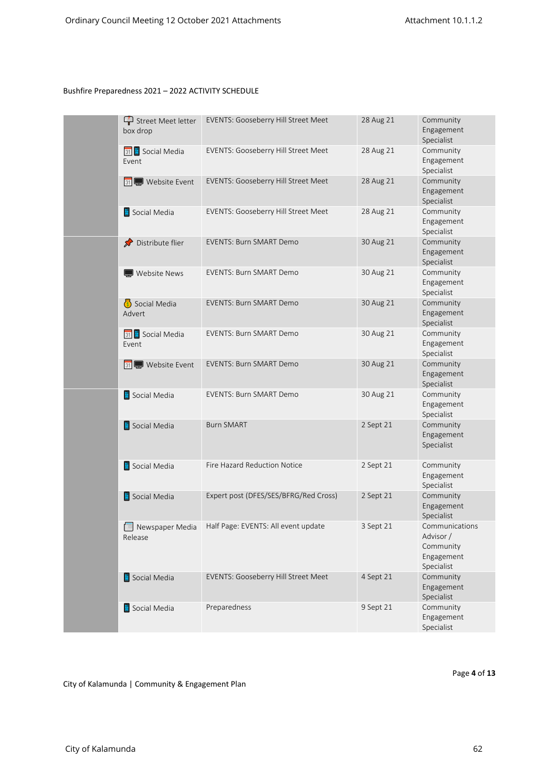| Street Meet letter<br>box drop   | EVENTS: Gooseberry Hill Street Meet                 | 28 Aug 21 | Community<br>Engagement<br>Specialist                                |
|----------------------------------|-----------------------------------------------------|-----------|----------------------------------------------------------------------|
| 31 Social Media<br>Event         | EVENTS: Gooseberry Hill Street Meet                 | 28 Aug 21 | Community<br>Engagement<br>Specialist                                |
| 31 Website Event                 | EVENTS: Gooseberry Hill Street Meet                 | 28 Aug 21 | Community<br>Engagement<br>Specialist                                |
| Social Media                     | EVENTS: Gooseberry Hill Street Meet                 | 28 Aug 21 | Community<br>Engagement<br>Specialist                                |
| Distribute flier<br>$\mathbf{x}$ | <b>EVENTS: Burn SMART Demo</b>                      | 30 Aug 21 | Community<br>Engagement<br>Specialist                                |
| Website News                     | <b>EVENTS: Burn SMART Demo</b>                      | 30 Aug 21 | Community<br>Engagement<br>Specialist                                |
| Social Media<br>Advert           | <b>EVENTS: Burn SMART Demo</b>                      | 30 Aug 21 | Community<br>Engagement<br>Specialist                                |
| 31 Social Media<br>Event         | <b>EVENTS: Burn SMART Demo</b>                      | 30 Aug 21 | Community<br>Engagement<br>Specialist                                |
| 31 Website Event                 | <b>EVENTS: Burn SMART Demo</b>                      | 30 Aug 21 | Community<br>Engagement<br>Specialist                                |
| Social Media                     | <b>EVENTS: Burn SMART Demo</b>                      | 30 Aug 21 | Community<br>Engagement<br>Specialist                                |
| Social Media                     | <b>Burn SMART</b>                                   | 2 Sept 21 | Community<br>Engagement<br>Specialist                                |
| Social Media                     | Fire Hazard Reduction Notice                        | 2 Sept 21 | Community<br>Engagement<br>Specialist                                |
| Social Media                     | Expert post (DFES/SES/BFRG/Red Cross)               | 2 Sept 21 | Community<br>Engagement<br>Specialist                                |
| Release                          | Newspaper Media Half Page: EVENTS: All event update | 3 Sept 21 | Communications<br>Advisor /<br>Community<br>Engagement<br>Specialist |
| Social Media                     | <b>EVENTS: Gooseberry Hill Street Meet</b>          | 4 Sept 21 | Community<br>Engagement<br>Specialist                                |
| Social Media                     | Preparedness                                        | 9 Sept 21 | Community<br>Engagement<br>Specialist                                |

Page 4 of 13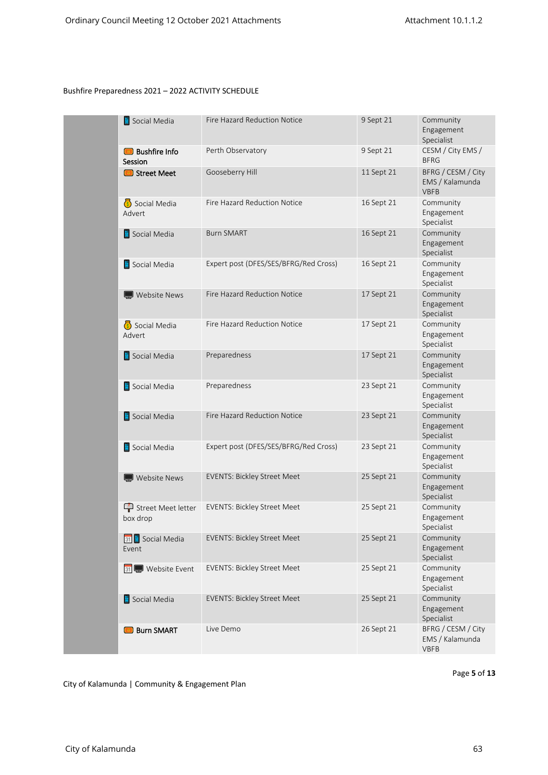| Social Media                    | Fire Hazard Reduction Notice          | 9 Sept 21  | Community<br>Engagement<br>Specialist                |
|---------------------------------|---------------------------------------|------------|------------------------------------------------------|
| <b>Bushfire Info</b><br>Session | Perth Observatory                     | 9 Sept 21  | CESM / City EMS /<br><b>BFRG</b>                     |
| <b>Street Meet</b>              | Gooseberry Hill                       | 11 Sept 21 | BFRG / CESM / City<br>EMS / Kalamunda<br><b>VBFB</b> |
| Social Media<br>Advert          | Fire Hazard Reduction Notice          | 16 Sept 21 | Community<br>Engagement<br>Specialist                |
| Social Media                    | <b>Burn SMART</b>                     | 16 Sept 21 | Community<br>Engagement<br>Specialist                |
| Social Media                    | Expert post (DFES/SES/BFRG/Red Cross) | 16 Sept 21 | Community<br>Engagement<br>Specialist                |
| Website News                    | Fire Hazard Reduction Notice          | 17 Sept 21 | Community<br>Engagement<br>Specialist                |
| Social Media<br>Advert          | Fire Hazard Reduction Notice          | 17 Sept 21 | Community<br>Engagement<br>Specialist                |
| Social Media                    | Preparedness                          | 17 Sept 21 | Community<br>Engagement<br>Specialist                |
| Social Media                    | Preparedness                          | 23 Sept 21 | Community<br>Engagement<br>Specialist                |
| Social Media                    | Fire Hazard Reduction Notice          | 23 Sept 21 | Community<br>Engagement<br>Specialist                |
| Social Media                    | Expert post (DFES/SES/BFRG/Red Cross) | 23 Sept 21 | Community<br>Engagement<br>Specialist                |
| $\Box$ Website News             | <b>EVENTS: Bickley Street Meet</b>    | 25 Sept 21 | Community<br>Engagement<br>Specialist                |
| Street Meet letter<br>box drop  | <b>EVENTS: Bickley Street Meet</b>    | 25 Sept 21 | Community<br>Engagement<br>Specialist                |
| 31 Social Media<br>Event        | <b>EVENTS: Bickley Street Meet</b>    | 25 Sept 21 | Community<br>Engagement<br>Specialist                |
| 31 Website Event                | <b>EVENTS: Bickley Street Meet</b>    | 25 Sept 21 | Community<br>Engagement<br>Specialist                |
| Social Media                    | <b>EVENTS: Bickley Street Meet</b>    | 25 Sept 21 | Community<br>Engagement<br>Specialist                |
| <b>Burn SMART</b>               | Live Demo                             | 26 Sept 21 | BFRG / CESM / City<br>EMS / Kalamunda<br><b>VBFB</b> |

Page 5 of 13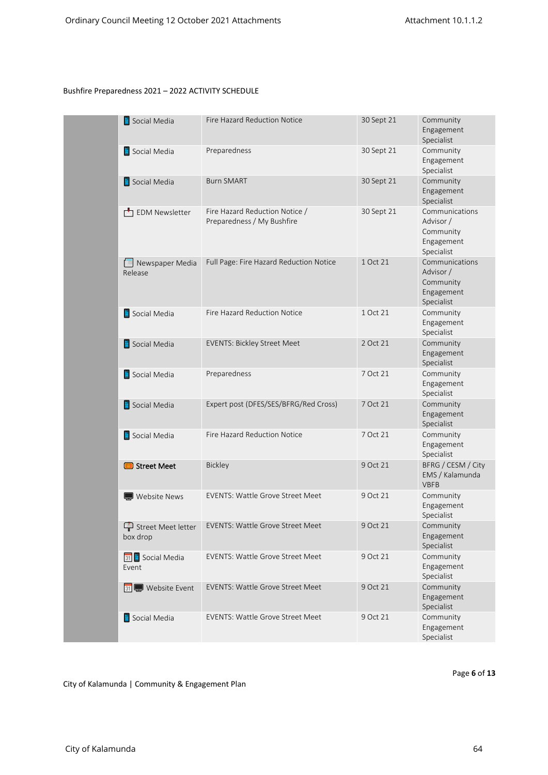| Social Media               | <b>Fire Hazard Reduction Notice</b>                          | 30 Sept 21 | Community<br>Engagement<br>Specialist                                |
|----------------------------|--------------------------------------------------------------|------------|----------------------------------------------------------------------|
| Social Media               | Preparedness                                                 | 30 Sept 21 | Community<br>Engagement<br>Specialist                                |
| Social Media               | <b>Burn SMART</b>                                            | 30 Sept 21 | Community<br>Engagement<br>Specialist                                |
| EDM Newsletter             | Fire Hazard Reduction Notice /<br>Preparedness / My Bushfire | 30 Sept 21 | Communications<br>Advisor /<br>Community<br>Engagement<br>Specialist |
| Newspaper Media<br>Release | Full Page: Fire Hazard Reduction Notice                      | 1 Oct 21   | Communications<br>Advisor /<br>Community<br>Engagement<br>Specialist |
| Social Media               | Fire Hazard Reduction Notice                                 | 1 Oct 21   | Community<br>Engagement<br>Specialist                                |
| Social Media               | <b>EVENTS: Bickley Street Meet</b>                           | 2 Oct 21   | Community<br>Engagement<br>Specialist                                |
| Social Media               | Preparedness                                                 | 7 Oct 21   | Community<br>Engagement<br>Specialist                                |
| Social Media               | Expert post (DFES/SES/BFRG/Red Cross)                        | 7 Oct 21   | Community<br>Engagement<br>Specialist                                |
| Social Media               | Fire Hazard Reduction Notice                                 | 7 Oct 21   | Community<br>Engagement<br>Specialist                                |
| Street Meet                | Bickley                                                      | 9 Oct 21   | BFRG / CESM / City<br>EMS / Kalamunda<br><b>VBFB</b>                 |
| Website News               | <b>EVENTS: Wattle Grove Street Meet</b>                      | 9 Oct 21   | Community<br>Engagement<br>Specialist                                |
| box drop                   | Street Meet letter EVENTS: Wattle Grove Street Meet          | 9 Oct 21   | Community<br>Engagement<br>Specialist                                |
| 31 Social Media<br>Event   | <b>EVENTS: Wattle Grove Street Meet</b>                      | 9 Oct 21   | Community<br>Engagement<br>Specialist                                |
| 31 Website Event           | <b>EVENTS: Wattle Grove Street Meet</b>                      | 9 Oct 21   | Community<br>Engagement<br>Specialist                                |
| Social Media               | EVENTS: Wattle Grove Street Meet                             | 9 Oct 21   | Community<br>Engagement<br>Specialist                                |

Page 6 of 13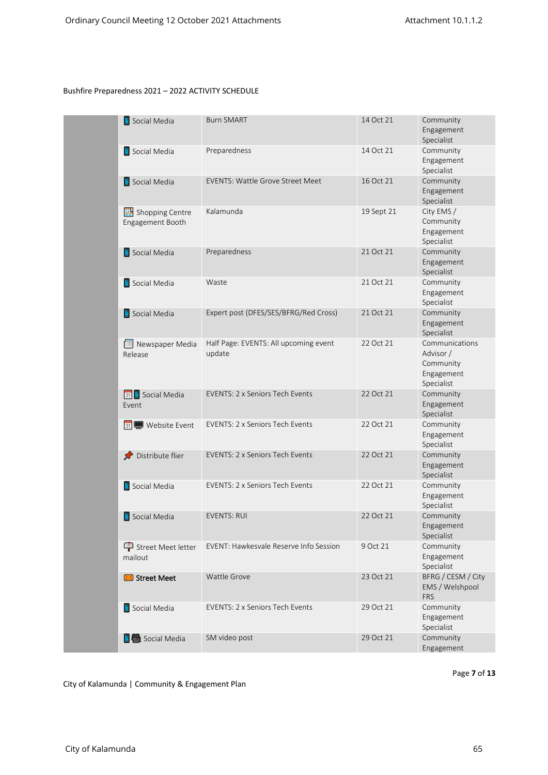| Social Media                        | <b>Burn SMART</b>                               | 14 Oct 21  | Community<br>Engagement<br>Specialist                                |
|-------------------------------------|-------------------------------------------------|------------|----------------------------------------------------------------------|
| Social Media                        | Preparedness                                    | 14 Oct 21  | Community<br>Engagement<br>Specialist                                |
| Social Media                        | <b>EVENTS: Wattle Grove Street Meet</b>         | 16 Oct 21  | Community<br>Engagement<br>Specialist                                |
| Shopping Centre<br>Engagement Booth | Kalamunda                                       | 19 Sept 21 | City EMS /<br>Community<br>Engagement<br>Specialist                  |
| Social Media                        | Preparedness                                    | 21 Oct 21  | Community<br>Engagement<br>Specialist                                |
| Social Media                        | Waste                                           | 21 Oct 21  | Community<br>Engagement<br>Specialist                                |
| Social Media                        | Expert post (DFES/SES/BFRG/Red Cross)           | 21 Oct 21  | Community<br>Engagement<br>Specialist                                |
| Newspaper Media<br>Release          | Half Page: EVENTS: All upcoming event<br>update | 22 Oct 21  | Communications<br>Advisor /<br>Community<br>Engagement<br>Specialist |
| 31 Social Media<br>Event            | <b>EVENTS: 2 x Seniors Tech Events</b>          | 22 Oct 21  | Community<br>Engagement<br>Specialist                                |
| 31 Website Event                    | EVENTS: 2 x Seniors Tech Events                 | 22 Oct 21  | Community<br>Engagement<br>Specialist                                |
| Distribute flier                    | <b>EVENTS: 2 x Seniors Tech Events</b>          | 22 Oct 21  | Community<br>Engagement<br>Specialist                                |
| Social Media                        | EVENTS: 2 x Seniors Tech Events                 | 22 Oct 21  | Community<br>Engagement<br>Specialist                                |
| Social Media                        | <b>EVENTS: RUI</b>                              | 22 Oct 21  | Community<br>Engagement<br>Specialist                                |
| Street Meet letter<br>mailout       | EVENT: Hawkesvale Reserve Info Session          | 9 Oct 21   | Community<br>Engagement<br>Specialist                                |
| Street Meet                         | Wattle Grove                                    | 23 Oct 21  | BFRG / CESM / City<br>EMS / Welshpool<br><b>FRS</b>                  |
| Social Media                        | EVENTS: 2 x Seniors Tech Events                 | 29 Oct 21  | Community<br>Engagement<br>Specialist                                |
| <b>E</b> Social Media               | SM video post                                   | 29 Oct 21  | Community<br>Engagement                                              |

Page 7 of 13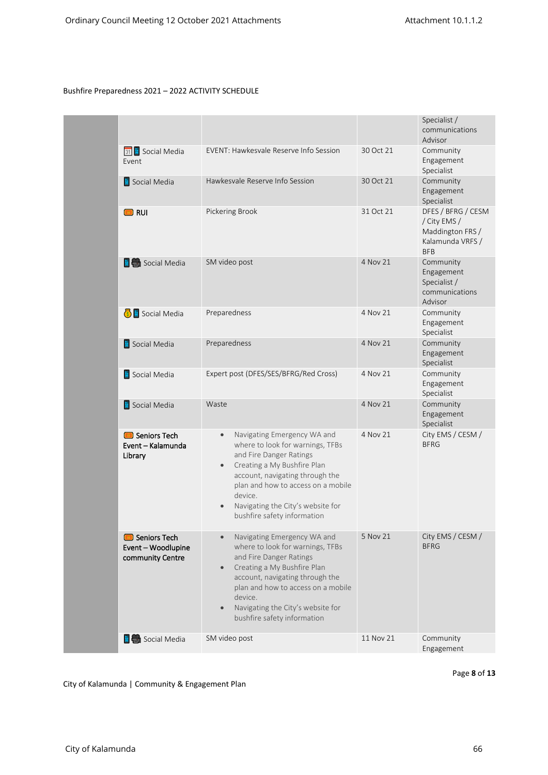|                                                                 |                                                                                                                                                                                                                                                                                                                          |           | Specialist /<br>communications<br>Advisor                                                |
|-----------------------------------------------------------------|--------------------------------------------------------------------------------------------------------------------------------------------------------------------------------------------------------------------------------------------------------------------------------------------------------------------------|-----------|------------------------------------------------------------------------------------------|
| 31 Social Media<br>Event                                        | EVENT: Hawkesvale Reserve Info Session                                                                                                                                                                                                                                                                                   | 30 Oct 21 | Community<br>Engagement<br>Specialist                                                    |
| Social Media                                                    | Hawkesvale Reserve Info Session                                                                                                                                                                                                                                                                                          | 30 Oct 21 | Community<br>Engagement<br>Specialist                                                    |
| <b>D</b> RUI                                                    | Pickering Brook                                                                                                                                                                                                                                                                                                          | 31 Oct 21 | DFES / BFRG / CESM<br>/ City EMS /<br>Maddington FRS /<br>Kalamunda VRFS /<br><b>BFB</b> |
| <b>E</b> Social Media                                           | SM video post                                                                                                                                                                                                                                                                                                            | 4 Nov 21  | Community<br>Engagement<br>Specialist /<br>communications<br>Advisor                     |
| Social Media                                                    | Preparedness                                                                                                                                                                                                                                                                                                             | 4 Nov 21  | Community<br>Engagement<br>Specialist                                                    |
| Social Media                                                    | Preparedness                                                                                                                                                                                                                                                                                                             | 4 Nov 21  | Community<br>Engagement<br>Specialist                                                    |
| Social Media                                                    | Expert post (DFES/SES/BFRG/Red Cross)                                                                                                                                                                                                                                                                                    | 4 Nov 21  | Community<br>Engagement<br>Specialist                                                    |
| Social Media                                                    | Waste                                                                                                                                                                                                                                                                                                                    | 4 Nov 21  | Community<br>Engagement<br>Specialist                                                    |
| Seniors Tech<br>Event - Kalamunda<br>Library                    | Navigating Emergency WA and<br>$\bullet$<br>where to look for warnings, TFBs<br>and Fire Danger Ratings<br>Creating a My Bushfire Plan<br>$\bullet$<br>account, navigating through the<br>plan and how to access on a mobile<br>device.<br>Navigating the City's website for<br>bushfire safety information              | 4 Nov 21  | City EMS / CESM /<br><b>BFRG</b>                                                         |
| <b>B</b> Seniors Tech<br>Event - Woodlupine<br>community Centre | Navigating Emergency WA and<br>$\bullet$<br>where to look for warnings, TFBs<br>and Fire Danger Ratings<br>Creating a My Bushfire Plan<br>$\bullet$<br>account, navigating through the<br>plan and how to access on a mobile<br>device.<br>Navigating the City's website for<br>$\bullet$<br>bushfire safety information | 5 Nov 21  | City EMS / CESM /<br><b>BFRG</b>                                                         |
| <b>E</b> Social Media                                           | SM video post                                                                                                                                                                                                                                                                                                            | 11 Nov 21 | Community<br>Engagement                                                                  |

Page 8 of 13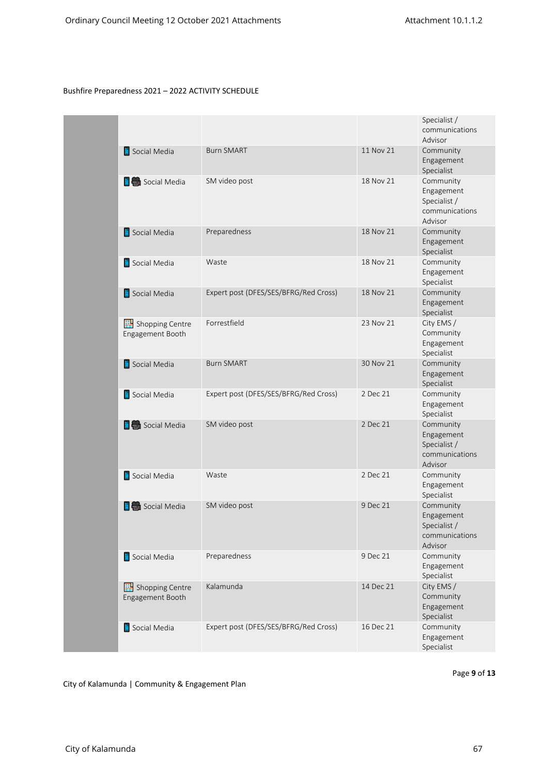|                                     |                                       |           | Specialist /<br>communications<br>Advisor                            |
|-------------------------------------|---------------------------------------|-----------|----------------------------------------------------------------------|
| Social Media                        | <b>Burn SMART</b>                     | 11 Nov 21 | Community<br>Engagement<br>Specialist                                |
| <b>E</b> Social Media               | SM video post                         | 18 Nov 21 | Community<br>Engagement<br>Specialist /<br>communications<br>Advisor |
| Social Media                        | Preparedness                          | 18 Nov 21 | Community<br>Engagement<br>Specialist                                |
| Social Media                        | Waste                                 | 18 Nov 21 | Community<br>Engagement<br>Specialist                                |
| Social Media                        | Expert post (DFES/SES/BFRG/Red Cross) | 18 Nov 21 | Community<br>Engagement<br>Specialist                                |
| Shopping Centre<br>Engagement Booth | Forrestfield                          | 23 Nov 21 | City EMS /<br>Community<br>Engagement<br>Specialist                  |
| Social Media                        | <b>Burn SMART</b>                     | 30 Nov 21 | Community<br>Engagement<br>Specialist                                |
| Social Media                        | Expert post (DFES/SES/BFRG/Red Cross) | 2 Dec 21  | Community<br>Engagement<br>Specialist                                |
| <b>E</b> Social Media               | SM video post                         | 2 Dec 21  | Community<br>Engagement<br>Specialist /<br>communications<br>Advisor |
| Social Media                        | Waste                                 | 2 Dec 21  | Community<br>Engagement<br>Specialist                                |
| <b>B</b> Social Media               | SM video post                         | 9 Dec 21  | Community<br>Engagement<br>Specialist /<br>communications<br>Advisor |
| Social Media                        | Preparedness                          | 9 Dec 21  | Community<br>Engagement<br>Specialist                                |
| Shopping Centre<br>Engagement Booth | Kalamunda                             | 14 Dec 21 | City EMS /<br>Community<br>Engagement<br>Specialist                  |
| Social Media                        | Expert post (DFES/SES/BFRG/Red Cross) | 16 Dec 21 | Community<br>Engagement<br>Specialist                                |

Page 9 of 13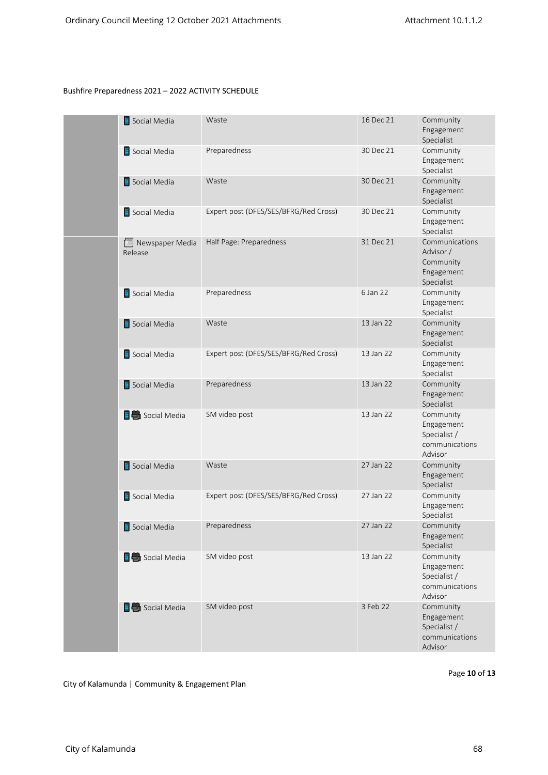| Social Media               | Waste                                 | 16 Dec 21 | Community<br>Engagement<br>Specialist                                |
|----------------------------|---------------------------------------|-----------|----------------------------------------------------------------------|
| Social Media               | Preparedness                          | 30 Dec 21 | Community<br>Engagement<br>Specialist                                |
| Social Media               | Waste                                 | 30 Dec 21 | Community<br>Engagement<br>Specialist                                |
| Social Media               | Expert post (DFES/SES/BFRG/Red Cross) | 30 Dec 21 | Community<br>Engagement<br>Specialist                                |
| Newspaper Media<br>Release | Half Page: Preparedness               | 31 Dec 21 | Communications<br>Advisor /<br>Community<br>Engagement<br>Specialist |
| Social Media               | Preparedness                          | 6 Jan 22  | Community<br>Engagement<br>Specialist                                |
| Social Media               | Waste                                 | 13 Jan 22 | Community<br>Engagement<br>Specialist                                |
| Social Media               | Expert post (DFES/SES/BFRG/Red Cross) | 13 Jan 22 | Community<br>Engagement<br>Specialist                                |
| Social Media               | Preparedness                          | 13 Jan 22 | Community<br>Engagement<br>Specialist                                |
| <b>E</b> Social Media      | SM video post                         | 13 Jan 22 | Community<br>Engagement<br>Specialist /<br>communications<br>Advisor |
| Social Media               | Waste                                 | 27 Jan 22 | Community<br>Engagement<br>Specialist                                |
| Social Media               | Expert post (DFES/SES/BFRG/Red Cross) | 27 Jan 22 | Community<br>Engagement<br>Specialist                                |
| Social Media               | Preparedness                          | 27 Jan 22 | Community<br>Engagement<br>Specialist                                |
| <b>E</b> Social Media      | SM video post                         | 13 Jan 22 | Community<br>Engagement<br>Specialist /<br>communications<br>Advisor |
| <b>E</b> Social Media      | SM video post                         | 3 Feb 22  | Community<br>Engagement<br>Specialist /<br>communications<br>Advisor |

Page 10 of 13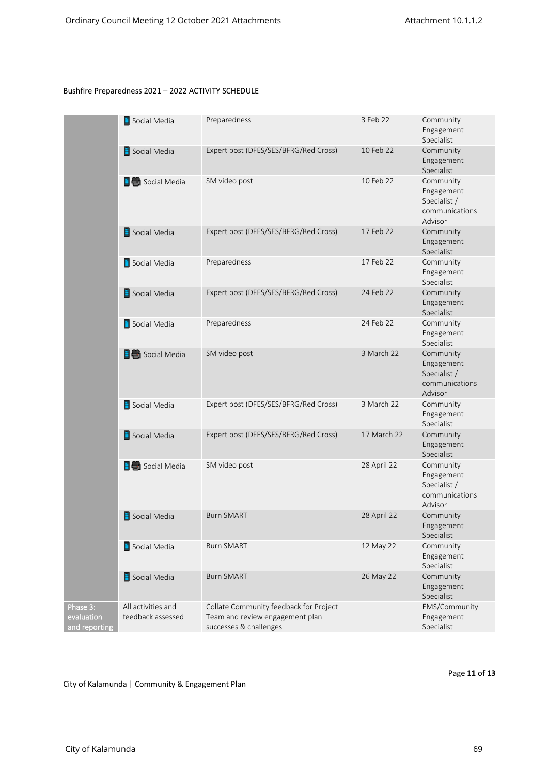|                                         | Social Media                            | Preparedness                                                                                        | 3 Feb 22    | Community<br>Engagement<br>Specialist                                |
|-----------------------------------------|-----------------------------------------|-----------------------------------------------------------------------------------------------------|-------------|----------------------------------------------------------------------|
|                                         | Social Media                            | Expert post (DFES/SES/BFRG/Red Cross)                                                               | 10 Feb 22   | Community<br>Engagement<br>Specialist                                |
|                                         | <b>E</b> Social Media                   | SM video post                                                                                       | 10 Feb 22   | Community<br>Engagement<br>Specialist /<br>communications<br>Advisor |
|                                         | Social Media                            | Expert post (DFES/SES/BFRG/Red Cross)                                                               | 17 Feb 22   | Community<br>Engagement<br>Specialist                                |
|                                         | Social Media                            | Preparedness                                                                                        | 17 Feb 22   | Community<br>Engagement<br>Specialist                                |
|                                         | Social Media                            | Expert post (DFES/SES/BFRG/Red Cross)                                                               | 24 Feb 22   | Community<br>Engagement<br>Specialist                                |
|                                         | Social Media                            | Preparedness                                                                                        | 24 Feb 22   | Community<br>Engagement<br>Specialist                                |
|                                         | <b>E</b> Social Media                   | SM video post                                                                                       | 3 March 22  | Community<br>Engagement<br>Specialist /<br>communications<br>Advisor |
|                                         | Social Media                            | Expert post (DFES/SES/BFRG/Red Cross)                                                               | 3 March 22  | Community<br>Engagement<br>Specialist                                |
|                                         | Social Media                            | Expert post (DFES/SES/BFRG/Red Cross)                                                               | 17 March 22 | Community<br>Engagement<br>Specialist                                |
|                                         | <b>E</b> Social Media                   | SM video post                                                                                       | 28 April 22 | Community<br>Engagement<br>Specialist /<br>communications<br>Advisor |
|                                         | Social Media                            | <b>Burn SMART</b>                                                                                   | 28 April 22 | Community<br>Engagement<br>Specialist                                |
|                                         | Social Media                            | <b>Burn SMART</b>                                                                                   | 12 May 22   | Community<br>Engagement<br>Specialist                                |
|                                         | Social Media                            | <b>Burn SMART</b>                                                                                   | 26 May 22   | Community<br>Engagement<br>Specialist                                |
| Phase 3:<br>evaluation<br>and reporting | All activities and<br>feedback assessed | Collate Community feedback for Project<br>Team and review engagement plan<br>successes & challenges |             | EMS/Community<br>Engagement<br>Specialist                            |

City of Kalamunda | Community & Engagement Plan

Page 11 of 13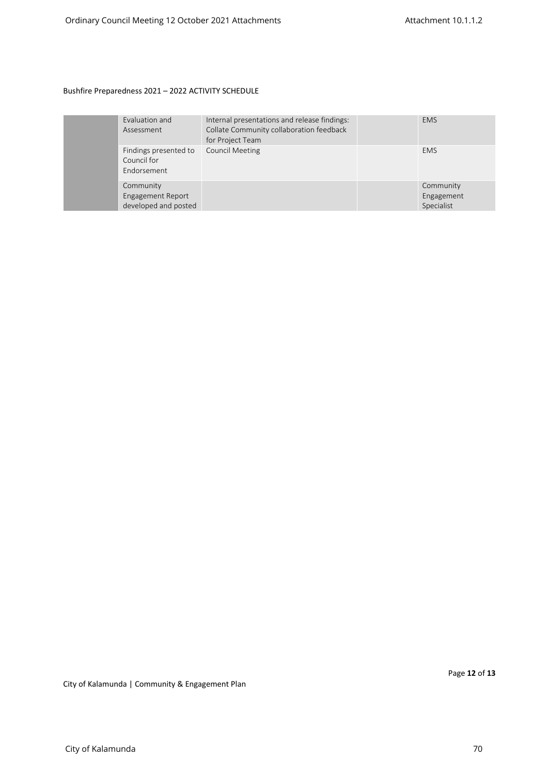|  | Evaluation and<br>Assessment                           | Internal presentations and release findings:<br>Collate Community collaboration feedback<br>for Project Team | <b>EMS</b>                            |
|--|--------------------------------------------------------|--------------------------------------------------------------------------------------------------------------|---------------------------------------|
|  | Findings presented to<br>Council for<br>Endorsement    | <b>Council Meeting</b>                                                                                       | <b>EMS</b>                            |
|  | Community<br>Engagement Report<br>developed and posted |                                                                                                              | Community<br>Engagement<br>Specialist |

Page **12** of **13**